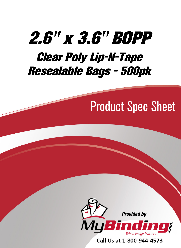# [2.6" x 3.6" BOPP](https://www.mybinding.com/bopp-clear-poly-lip-n-tape-resealable-bags.html?sku=RB-25-35-160-A)  Clear Poly Lip-N-Tape Resealable Bags - 500pk

## Product Spec Sheet



Call Us at 1-800-944-4573